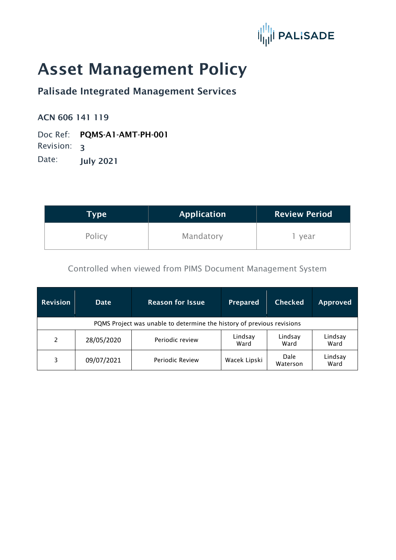

# Asset Management Policy

## Palisade Integrated Management Services

#### ACN 606 141 119

Doc Ref: PQMS-A1-AMT-PH-001

Revision: 3

Date: **July 2021** 

| Type   | <b>Application</b> | <b>Review Period</b> |  |
|--------|--------------------|----------------------|--|
| Policy | Mandatory          | year                 |  |

Controlled when viewed from PIMS Document Management System

| <b>Revision</b>                                                        | <b>Date</b> | <b>Reason for Issue</b> | <b>Prepared</b> | <b>Checked</b>          | Approved        |  |
|------------------------------------------------------------------------|-------------|-------------------------|-----------------|-------------------------|-----------------|--|
| PQMS Project was unable to determine the history of previous revisions |             |                         |                 |                         |                 |  |
| 2                                                                      | 28/05/2020  | Periodic review         | Lindsay<br>Ward | Lindsay<br>Ward         | Lindsay<br>Ward |  |
| 3                                                                      | 09/07/2021  | Periodic Review         | Wacek Lipski    | <b>Dale</b><br>Waterson | Lindsay<br>Ward |  |